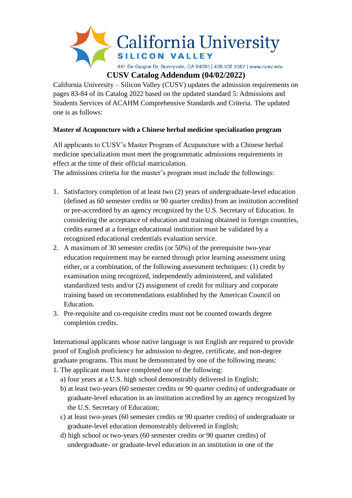

California University – Silicon Valley (CUSV) updates the admission requirements on pages 83-84 of its Catalog 2022 based on the updated standard 5: Admissions and Students Services of ACAHM Comprehensive Standards and Criteria. The updated one is as follows:

## **Master of Acupuncture with a Chinese herbal medicine specialization program**

All applicants to CUSV's Master Program of Acupuncture with a Chinese herbal medicine specialization must meet the programmatic admissions requirements in effect at the time of their official matriculation.

The admissions criteria for the master's program must include the followings:

- 1. Satisfactory completion of at least two (2) years of undergraduate-level education (defined as 60 semester credits or 90 quarter credits) from an institution accredited or pre-accredited by an agency recognized by the U.S. Secretary of Education. In considering the acceptance of education and training obtained in foreign countries, credits earned at a foreign educational institution must be validated by a recognized educational credentials evaluation service.
- 2. A maximum of 30 semester credits (or 50%) of the prerequisite two-year education requirement may be earned through prior learning assessment using either, or a combination, of the following assessment techniques: (1) credit by examination using recognized, independently administered, and validated standardized tests and/or (2) assignment of credit for military and corporate training based on recommendations established by the American Council on Education.
- 3. Pre-requisite and co-requisite credits must not be counted towards degree completion credits.

International applicants whose native language is not English are required to provide proof of English proficiency for admission to degree, certificate, and non-degree graduate programs. This must be demonstrated by one of the following means:

- 1. The applicant must have completed one of the following:
	- a) four years at a U.S. high school demonstrably delivered in English;
	- b) at least two-years (60 semester credits or 90 quarter credits) of undergraduate or graduate-level education in an institution accredited by an agency recognized by the U.S. Secretary of Education;
	- c) at least two-years (60 semester credits or 90 quarter credits) of undergraduate or graduate-level education demonstrably delivered in English;
	- d) high school or two-years (60 semester credits or 90 quarter credits) of undergraduate- or graduate-level education in an institution in one of the